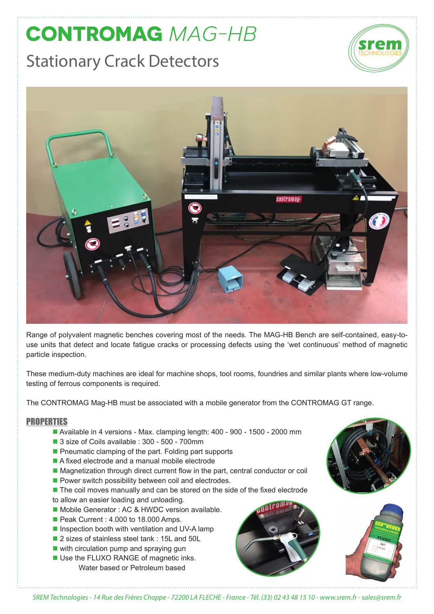## **CONTROMAG MAG-HB** Stationary Crack Detectors





Range of polyvalent magnetic benches covering most of the needs. The MAG-HB Bench are self-contained, easy-touse units that detect and locate fatigue cracks or processing defects using the 'wet continuous' method of magnetic particle inspection.

These medium-duty machines are ideal for machine shops, tool rooms, foundries and similar plants where low-volume testing of ferrous components is required.

The CONTROMAG Mag-HB must be associated with a mobile generator from the CONTROMAG GT range.

## PROPERTIES

- Available in 4 versions Max. clamping length: 400 900 1500 2000 mm
- 3 size of Coils available : 300 500 700mm
- $\blacksquare$  Pneumatic clamping of the part. Folding part supports
- $\blacksquare$  A fixed electrode and a manual mobile electrode
- Magnetization through direct current flow in the part, central conductor or coil
- $\blacksquare$  Power switch possibility between coil and electrodes.
- The coil moves manually and can be stored on the side of the fixed electrode
- to allow an easier loading and unloading.
- Mobile Generator : AC & HWDC version available.
- Peak Current : 4.000 to 18.000 Amps.
- $\blacksquare$  Inspection booth with ventilation and UV-A lamp
- 2 sizes of stainless steel tank : 15L and 50L
- $\blacksquare$  with circulation pump and spraying gun
- Use the FLUXO RANGE of magnetic inks. Water based or Petroleum based







*SREM Technologies - 14 Rue des Frères Chappe - 72200 LA FLECHE - France - Tél. (33) 02 43 48 15 10 - www.srem.fr - sales@srem.fr*